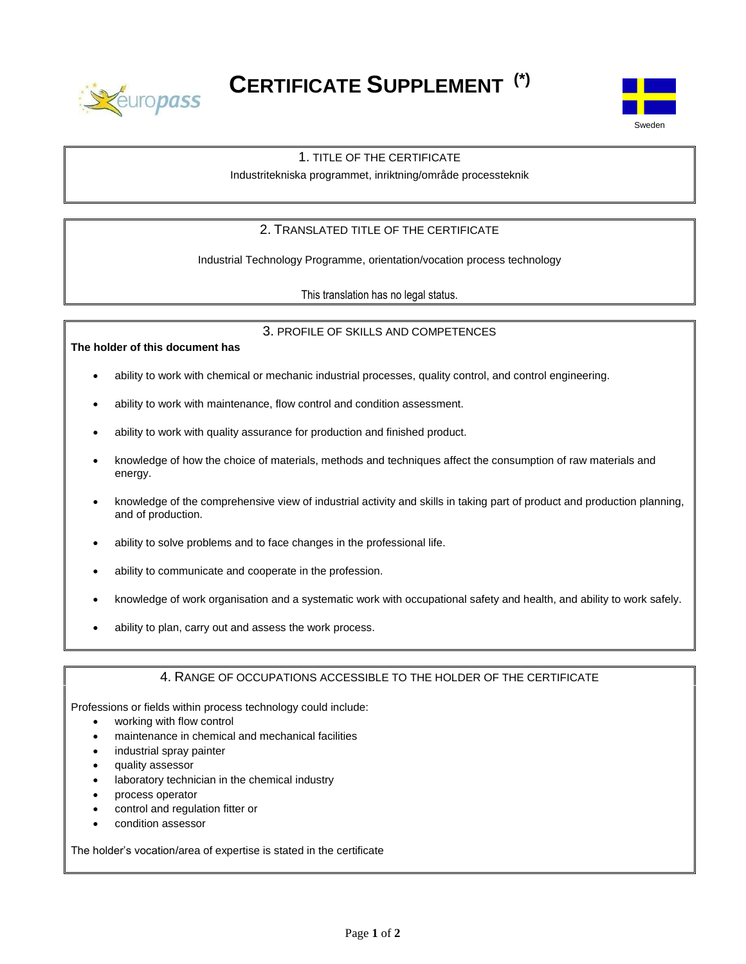

**CERTIFICATE SUPPLEMENT (\*)**



## 1. TITLE OF THE CERTIFICATE

Industritekniska programmet, inriktning/område processteknik

# 2. TRANSLATED TITLE OF THE CERTIFICATE

Industrial Technology Programme, orientation/vocation process technology

This translation has no legal status.

### 3. PROFILE OF SKILLS AND COMPETENCES

**The holder of this document has**

- ability to work with chemical or mechanic industrial processes, quality control, and control engineering.
- ability to work with maintenance, flow control and condition assessment.
- ability to work with quality assurance for production and finished product.
- knowledge of how the choice of materials, methods and techniques affect the consumption of raw materials and energy.
- knowledge of the comprehensive view of industrial activity and skills in taking part of product and production planning, and of production.
- ability to solve problems and to face changes in the professional life.
- ability to communicate and cooperate in the profession.
- knowledge of work organisation and a systematic work with occupational safety and health, and ability to work safely.
- ability to plan, carry out and assess the work process.

# 4. RANGE OF OCCUPATIONS ACCESSIBLE TO THE HOLDER OF THE CERTIFICATE

Professions or fields within process technology could include:

- working with flow control
- maintenance in chemical and mechanical facilities
- industrial spray painter
- quality assessor
- laboratory technician in the chemical industry
- process operator
- control and regulation fitter or
- condition assessor

The holder's vocation/area of expertise is stated in the certificate